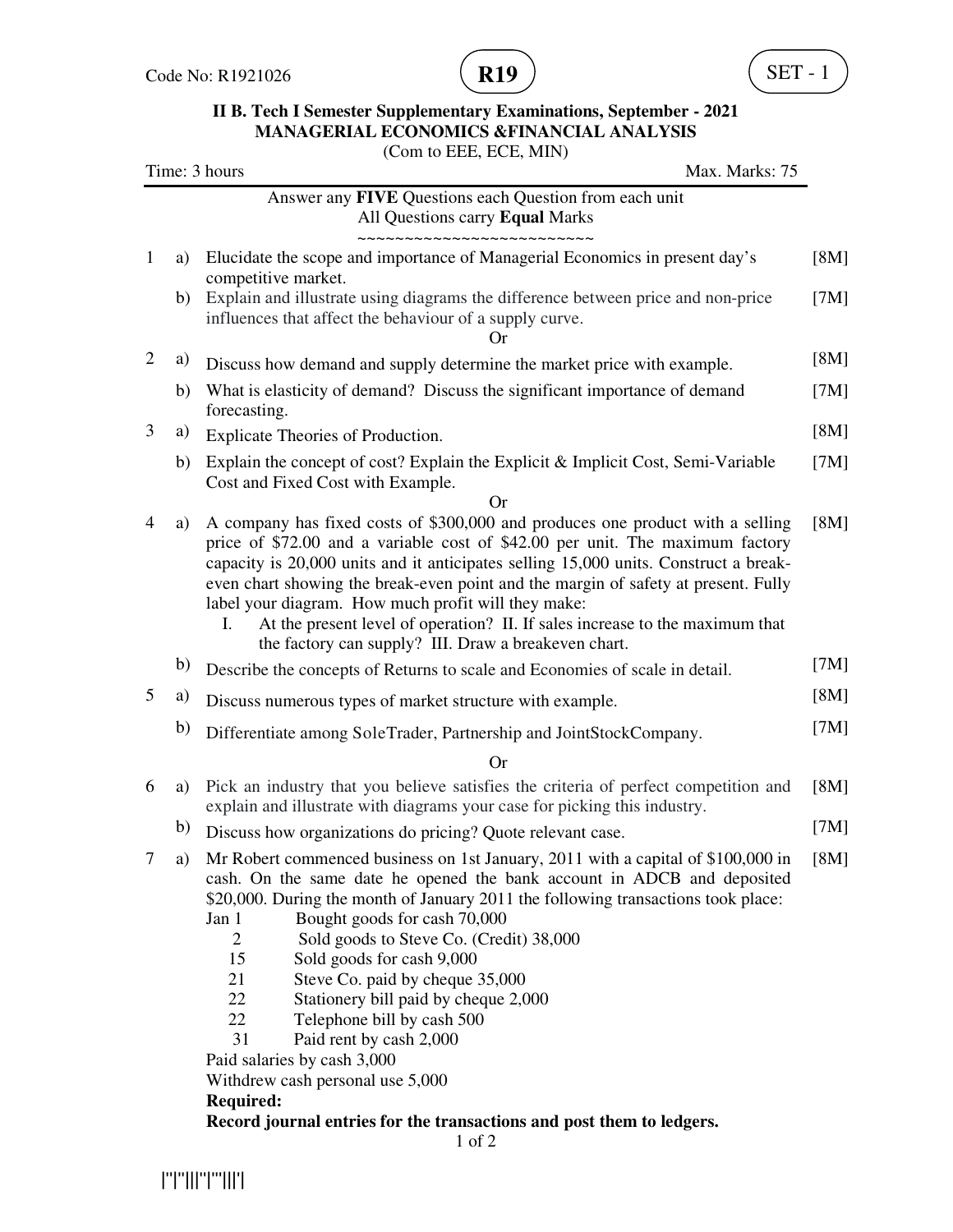

## **II B. Tech I Semester Supplementary Examinations, September - 2021 MANAGERIAL ECONOMICS &FINANCIAL ANALYSIS**

(Com to EEE, ECE, MIN)

| Answer any FIVE Questions each Question from each unit<br>All Questions carry Equal Marks<br>~~~~~~~~~~~~~~~~~~~~~~~~~<br>Elucidate the scope and importance of Managerial Economics in present day's<br>[8M]<br>$\mathbf{1}$<br>a)<br>competitive market.<br>Explain and illustrate using diagrams the difference between price and non-price<br>[7M]<br>b)<br>influences that affect the behaviour of a supply curve.<br>Or)<br>$\overline{2}$<br>[8M]<br>a)<br>Discuss how demand and supply determine the market price with example.<br>What is elasticity of demand? Discuss the significant importance of demand<br>[7M]<br>b)<br>forecasting.<br>3<br>[8M]<br>a)<br>Explicate Theories of Production.<br>Explain the concept of cost? Explain the Explicit & Implicit Cost, Semi-Variable<br>[7M]<br>b)<br>Cost and Fixed Cost with Example.<br>Or<br>A company has fixed costs of \$300,000 and produces one product with a selling<br>[8M]<br>4<br>a)<br>price of \$72.00 and a variable cost of \$42.00 per unit. The maximum factory<br>capacity is 20,000 units and it anticipates selling 15,000 units. Construct a break-<br>even chart showing the break-even point and the margin of safety at present. Fully<br>label your diagram. How much profit will they make:<br>At the present level of operation? II. If sales increase to the maximum that<br>I.<br>the factory can supply? III. Draw a breakeven chart.<br>b)<br>[7M]<br>Describe the concepts of Returns to scale and Economies of scale in detail.<br>5<br>[8M]<br>a)<br>Discuss numerous types of market structure with example.<br>[7M]<br>b)<br>Differentiate among SoleTrader, Partnership and JointStockCompany.<br><b>Or</b><br>Pick an industry that you believe satisfies the criteria of perfect competition and<br>6<br>[8M]<br>a)<br>explain and illustrate with diagrams your case for picking this industry.<br>[7M]<br>b)<br>Discuss how organizations do pricing? Quote relevant case.<br>Mr Robert commenced business on 1st January, 2011 with a capital of \$100,000 in<br>[8M]<br>$7 \quad a)$<br>cash. On the same date he opened the bank account in ADCB and deposited<br>\$20,000. During the month of January 2011 the following transactions took place:<br>Bought goods for cash 70,000<br>Jan 1<br>Sold goods to Steve Co. (Credit) 38,000<br>2<br>15<br>Sold goods for cash 9,000<br>21<br>Steve Co. paid by cheque 35,000<br>22<br>Stationery bill paid by cheque 2,000<br>22<br>Telephone bill by cash 500<br>31<br>Paid rent by cash 2,000<br>Paid salaries by cash 3,000<br>Withdrew cash personal use 5,000<br><b>Required:</b><br>Record journal entries for the transactions and post them to ledgers.<br>$1$ of $2$ | Time: 3 hours<br>Max. Marks: 75 |  |  |  |  |
|--------------------------------------------------------------------------------------------------------------------------------------------------------------------------------------------------------------------------------------------------------------------------------------------------------------------------------------------------------------------------------------------------------------------------------------------------------------------------------------------------------------------------------------------------------------------------------------------------------------------------------------------------------------------------------------------------------------------------------------------------------------------------------------------------------------------------------------------------------------------------------------------------------------------------------------------------------------------------------------------------------------------------------------------------------------------------------------------------------------------------------------------------------------------------------------------------------------------------------------------------------------------------------------------------------------------------------------------------------------------------------------------------------------------------------------------------------------------------------------------------------------------------------------------------------------------------------------------------------------------------------------------------------------------------------------------------------------------------------------------------------------------------------------------------------------------------------------------------------------------------------------------------------------------------------------------------------------------------------------------------------------------------------------------------------------------------------------------------------------------------------------------------------------------------------------------------------------------------------------------------------------------------------------------------------------------------------------------------------------------------------------------------------------------------------------------------------------------------------------------------------------------------------------------------------------------------------------------------------------------------------------------------------------------------------------------------------------------------------------|---------------------------------|--|--|--|--|
|                                                                                                                                                                                                                                                                                                                                                                                                                                                                                                                                                                                                                                                                                                                                                                                                                                                                                                                                                                                                                                                                                                                                                                                                                                                                                                                                                                                                                                                                                                                                                                                                                                                                                                                                                                                                                                                                                                                                                                                                                                                                                                                                                                                                                                                                                                                                                                                                                                                                                                                                                                                                                                                                                                                                      |                                 |  |  |  |  |
|                                                                                                                                                                                                                                                                                                                                                                                                                                                                                                                                                                                                                                                                                                                                                                                                                                                                                                                                                                                                                                                                                                                                                                                                                                                                                                                                                                                                                                                                                                                                                                                                                                                                                                                                                                                                                                                                                                                                                                                                                                                                                                                                                                                                                                                                                                                                                                                                                                                                                                                                                                                                                                                                                                                                      |                                 |  |  |  |  |
|                                                                                                                                                                                                                                                                                                                                                                                                                                                                                                                                                                                                                                                                                                                                                                                                                                                                                                                                                                                                                                                                                                                                                                                                                                                                                                                                                                                                                                                                                                                                                                                                                                                                                                                                                                                                                                                                                                                                                                                                                                                                                                                                                                                                                                                                                                                                                                                                                                                                                                                                                                                                                                                                                                                                      |                                 |  |  |  |  |
|                                                                                                                                                                                                                                                                                                                                                                                                                                                                                                                                                                                                                                                                                                                                                                                                                                                                                                                                                                                                                                                                                                                                                                                                                                                                                                                                                                                                                                                                                                                                                                                                                                                                                                                                                                                                                                                                                                                                                                                                                                                                                                                                                                                                                                                                                                                                                                                                                                                                                                                                                                                                                                                                                                                                      |                                 |  |  |  |  |
|                                                                                                                                                                                                                                                                                                                                                                                                                                                                                                                                                                                                                                                                                                                                                                                                                                                                                                                                                                                                                                                                                                                                                                                                                                                                                                                                                                                                                                                                                                                                                                                                                                                                                                                                                                                                                                                                                                                                                                                                                                                                                                                                                                                                                                                                                                                                                                                                                                                                                                                                                                                                                                                                                                                                      |                                 |  |  |  |  |
|                                                                                                                                                                                                                                                                                                                                                                                                                                                                                                                                                                                                                                                                                                                                                                                                                                                                                                                                                                                                                                                                                                                                                                                                                                                                                                                                                                                                                                                                                                                                                                                                                                                                                                                                                                                                                                                                                                                                                                                                                                                                                                                                                                                                                                                                                                                                                                                                                                                                                                                                                                                                                                                                                                                                      |                                 |  |  |  |  |
|                                                                                                                                                                                                                                                                                                                                                                                                                                                                                                                                                                                                                                                                                                                                                                                                                                                                                                                                                                                                                                                                                                                                                                                                                                                                                                                                                                                                                                                                                                                                                                                                                                                                                                                                                                                                                                                                                                                                                                                                                                                                                                                                                                                                                                                                                                                                                                                                                                                                                                                                                                                                                                                                                                                                      |                                 |  |  |  |  |
|                                                                                                                                                                                                                                                                                                                                                                                                                                                                                                                                                                                                                                                                                                                                                                                                                                                                                                                                                                                                                                                                                                                                                                                                                                                                                                                                                                                                                                                                                                                                                                                                                                                                                                                                                                                                                                                                                                                                                                                                                                                                                                                                                                                                                                                                                                                                                                                                                                                                                                                                                                                                                                                                                                                                      |                                 |  |  |  |  |
|                                                                                                                                                                                                                                                                                                                                                                                                                                                                                                                                                                                                                                                                                                                                                                                                                                                                                                                                                                                                                                                                                                                                                                                                                                                                                                                                                                                                                                                                                                                                                                                                                                                                                                                                                                                                                                                                                                                                                                                                                                                                                                                                                                                                                                                                                                                                                                                                                                                                                                                                                                                                                                                                                                                                      |                                 |  |  |  |  |
|                                                                                                                                                                                                                                                                                                                                                                                                                                                                                                                                                                                                                                                                                                                                                                                                                                                                                                                                                                                                                                                                                                                                                                                                                                                                                                                                                                                                                                                                                                                                                                                                                                                                                                                                                                                                                                                                                                                                                                                                                                                                                                                                                                                                                                                                                                                                                                                                                                                                                                                                                                                                                                                                                                                                      |                                 |  |  |  |  |
|                                                                                                                                                                                                                                                                                                                                                                                                                                                                                                                                                                                                                                                                                                                                                                                                                                                                                                                                                                                                                                                                                                                                                                                                                                                                                                                                                                                                                                                                                                                                                                                                                                                                                                                                                                                                                                                                                                                                                                                                                                                                                                                                                                                                                                                                                                                                                                                                                                                                                                                                                                                                                                                                                                                                      |                                 |  |  |  |  |
|                                                                                                                                                                                                                                                                                                                                                                                                                                                                                                                                                                                                                                                                                                                                                                                                                                                                                                                                                                                                                                                                                                                                                                                                                                                                                                                                                                                                                                                                                                                                                                                                                                                                                                                                                                                                                                                                                                                                                                                                                                                                                                                                                                                                                                                                                                                                                                                                                                                                                                                                                                                                                                                                                                                                      |                                 |  |  |  |  |
|                                                                                                                                                                                                                                                                                                                                                                                                                                                                                                                                                                                                                                                                                                                                                                                                                                                                                                                                                                                                                                                                                                                                                                                                                                                                                                                                                                                                                                                                                                                                                                                                                                                                                                                                                                                                                                                                                                                                                                                                                                                                                                                                                                                                                                                                                                                                                                                                                                                                                                                                                                                                                                                                                                                                      |                                 |  |  |  |  |
|                                                                                                                                                                                                                                                                                                                                                                                                                                                                                                                                                                                                                                                                                                                                                                                                                                                                                                                                                                                                                                                                                                                                                                                                                                                                                                                                                                                                                                                                                                                                                                                                                                                                                                                                                                                                                                                                                                                                                                                                                                                                                                                                                                                                                                                                                                                                                                                                                                                                                                                                                                                                                                                                                                                                      |                                 |  |  |  |  |
|                                                                                                                                                                                                                                                                                                                                                                                                                                                                                                                                                                                                                                                                                                                                                                                                                                                                                                                                                                                                                                                                                                                                                                                                                                                                                                                                                                                                                                                                                                                                                                                                                                                                                                                                                                                                                                                                                                                                                                                                                                                                                                                                                                                                                                                                                                                                                                                                                                                                                                                                                                                                                                                                                                                                      |                                 |  |  |  |  |
|                                                                                                                                                                                                                                                                                                                                                                                                                                                                                                                                                                                                                                                                                                                                                                                                                                                                                                                                                                                                                                                                                                                                                                                                                                                                                                                                                                                                                                                                                                                                                                                                                                                                                                                                                                                                                                                                                                                                                                                                                                                                                                                                                                                                                                                                                                                                                                                                                                                                                                                                                                                                                                                                                                                                      |                                 |  |  |  |  |
|                                                                                                                                                                                                                                                                                                                                                                                                                                                                                                                                                                                                                                                                                                                                                                                                                                                                                                                                                                                                                                                                                                                                                                                                                                                                                                                                                                                                                                                                                                                                                                                                                                                                                                                                                                                                                                                                                                                                                                                                                                                                                                                                                                                                                                                                                                                                                                                                                                                                                                                                                                                                                                                                                                                                      |                                 |  |  |  |  |

|''|''|||''|'''|||'|